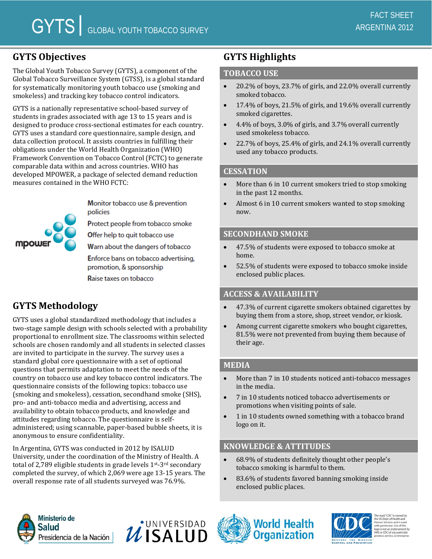# **GYTS Objectives**

The Global Youth Tobacco Survey (GYTS), a component of the Global Tobacco Surveillance System (GTSS), is a global standard for systematically monitoring youth tobacco use (smoking and smokeless) and tracking key tobacco control indicators.

GYTS is a nationally representative school-based survey of students in grades associated with age 13 to 15 years and is designed to produce cross-sectional estimates for each country. GYTS uses a standard core questionnaire, sample design, and data collection protocol. It assists countries in fulfilling their obligations under the World Health Organization (WHO) Framework Convention on Tobacco Control (FCTC) to generate comparable data within and across countries. WHO has developed MPOWER, a package of selected demand reduction measures contained in the WHO FCTC:

mpow

Monitor tobacco use & prevention policies

Protect people from tobacco smoke

Offer help to quit tobacco use

Warn about the dangers of tobacco

Enforce bans on tobacco advertising, promotion, & sponsorship

Raise taxes on tobacco

# **GYTS Methodology**

GYTS uses a global standardized methodology that includes a two-stage sample design with schools selected with a probability proportional to enrollment size. The classrooms within selected schools are chosen randomly and all students in selected classes are invited to participate in the survey. The survey uses a standard global core questionnaire with a set of optional questions that permits adaptation to meet the needs of the country on tobacco use and key tobacco control indicators. The questionnaire consists of the following topics: tobacco use (smoking and smokeless), cessation, secondhand smoke (SHS), pro- and anti-tobacco media and advertising, access and availability to obtain tobacco products, and knowledge and attitudes regarding tobacco. The questionnaire is selfadministered; using scannable, paper-based bubble sheets, it is anonymous to ensure confidentiality.

In Argentina, GYTS was conducted in 2012 by ISALUD University, under the coordination of the Ministry of Health. A total of 2,789 eligible students in grade levels  $1^{st}$ -3<sup>rd</sup> secondary completed the survey, of which 2,069 were age 13-15 years. The overall response rate of all students surveyed was 76.9%.

# **GYTS Highlights**

### **TOBACCO USE**

- 20.2% of boys, 23.7% of girls, and 22.0% overall currently smoked tobacco.
- 17.4% of boys, 21.5% of girls, and 19.6% overall currently smoked cigarettes.
- 4.4% of boys, 3.0% of girls, and 3.7% overall currently used smokeless tobacco.
- 22.7% of boys, 25.4% of girls, and 24.1% overall currently used any tobacco products.

#### **CESSATION**

- More than 6 in 10 current smokers tried to stop smoking in the past 12 months.
- Almost 6 in 10 current smokers wanted to stop smoking now.

## **SECONDHAND SMOKE**

- 47.5% of students were exposed to tobacco smoke at home.
- 52.5% of students were exposed to tobacco smoke inside enclosed public places.

#### **ACCESS & AVAILABILITY**

- 47.3% of current cigarette smokers obtained cigarettes by buying them from a store, shop, street vendor, or kiosk.
- Among current cigarette smokers who bought cigarettes, 81.5% were not prevented from buying them because of their age.

# **MEDIA**

- More than 7 in 10 students noticed anti-tobacco messages in the media.
- 7 in 10 students noticed tobacco advertisements or promotions when visiting points of sale.
- 1 in 10 students owned something with a tobacco brand logo on it.

## **KNOWLEDGE & ATTITUDES**

- 68.9% of students definitely thought other people's tobacco smoking is harmful to them.
- 83.6% of students favored banning smoking inside enclosed public places.